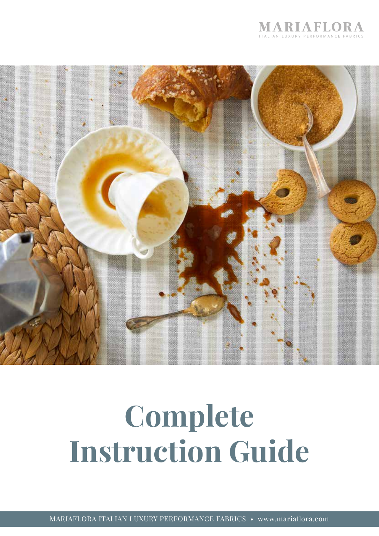



# Complete Instruction Guide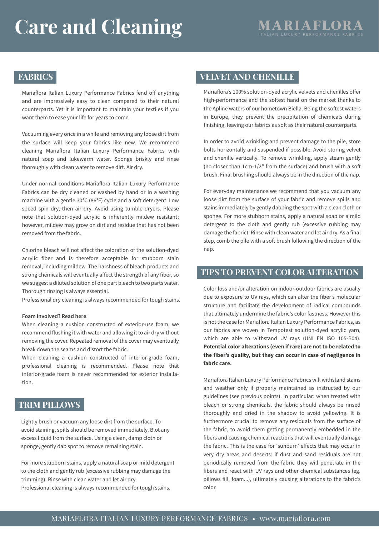## Care and Cleaning MARIAFLO

### **FABRICS**

Mariaflora Italian Luxury Performance Fabrics fend off anything and are impressively easy to clean compared to their natural counterparts. Yet it is important to maintain your textiles if you want them to ease your life for years to come.

Vacuuming every once in a while and removing any loose dirt from the surface will keep your fabrics like new. We recommend cleaning Mariaflora Italian Luxury Performance Fabrics with natural soap and lukewarm water. Sponge briskly and rinse thoroughly with clean water to remove dirt. Air dry.

Under normal conditions Mariaflora Italian Luxury Performance Fabrics can be dry cleaned or washed by hand or in a washing machine with a gentle 30°C (86°F) cycle and a soft detergent. Low speed spin dry, then air dry. Avoid using tumble dryers. Please note that solution-dyed acrylic is inherently mildew resistant; however, mildew may grow on dirt and residue that has not been removed from the fabric.

Chlorine bleach will not affect the coloration of the solution-dyed acrylic fiber and is therefore acceptable for stubborn stain removal, including mildew. The harshness of bleach products and strong chemicals will eventually affect the strength of any fiber, so we suggest a diluted solution of one part bleach to two parts water. Thorough rinsing is always essential.

Professional dry cleaning is always recommended for tough stains.

#### Foam involved? Read here.

When cleaning a cushion constructed of exterior-use foam, we recommend flushing it with water and allowing it to air dry without removing the cover. Repeated removal of the cover may eventually break down the seams and distort the fabric.

When cleaning a cushion constructed of interior-grade foam, professional cleaning is recommended. Please note that interior-grade foam is never recommended for exterior installa $tion$ 

#### TRIM PILLOWS

Lightly brush or vacuum any loose dirt from the surface. To avoid staining, spills should be removed immediately. Blot any excess liquid from the surface. Using a clean, damp cloth or sponge, gently dab spot to remove remaining stain.

For more stubborn stains, apply a natural soap or mild detergent to the cloth and gently rub (excessive rubbing may damage the trimming). Rinse with clean water and let air dry. Professional cleaning is always recommended for tough stains.

#### VELVET AND CHENILLE

Mariaflora's 100% solution-dyed acrylic velvets and chenilles offer high-performance and the softest hand on the market thanks to the Apline waters of our hometown Biella. Being the softest waters i<br>I in Europe, they prevent the precipitation of chemicals during finishing, leaving our fabrics as soft as their natural counterparts.

In order to avoid wrinkling and prevent damage to the pile, store bolts horizontally and suspended if possible. Avoid storing velvet and chenille vertically. To remove wrinkling, apply steam gently (no closer than  $1 \text{cm-}1/2$ " from the surface) and brush with a soft brush. Final brushing should always be in the direction of the nap.

For everyday maintenance we recommend that you vacuum any loose dirt from the surface of your fabric and remove spills and stains immediately by gently dabbing the spot with a clean cloth or sponge. For more stubborn stains, apply a natural soap or a mild detergent to the cloth and gently rub (excessive rubbing may damage the fabric). Rinse with clean water and let air dry. As a final step, comb the pile with a soft brush following the direction of the nap.

#### TIPS TO PREVENT COLOR ALTERATION

Color loss and/or alteration on indoor-outdoor fabrics are usually due to exposure to UV rays, which can alter the fiber's molecular structure and facilitate the development of radical compounds that ultimately undermine the fabric's color fastness. However this is not the case for Mariaflora Italian Luxury Performance Fabrics, as our fabrics are woven in Tempotest solution-dyed acrylic yarn, which are able to withstand UV rays (UNI EN ISO 105-B04). Potential color alterations (even if rare) are not to be related to the fiber's quality, but they can occur in case of negligence in fabric care.

Mariaflora Italian Luxury Performance Fabrics will withstand stains and weather only if properly maintained as instructed by our guidelines (see previous points). In particular: when treated with bleach or strong chemicals, the fabric should always be rinsed thoroughly and dried in the shadow to avoid yellowing. It is furthermore crucial to remove any residuals from the surface of the fabric, to avoid them getting permanently embedded in the fibers and causing chemical reactions that will eventually damage the fabric. This is the case for 'sunburn' effects that may occur in very dry areas and deserts: if dust and sand residuals are not periodically removed from the fabric they will penetrate in the fibers and react with UV rays and other chemical substances (eg. pillows fill, foam...), ultimately causing alterations to the fabric's color.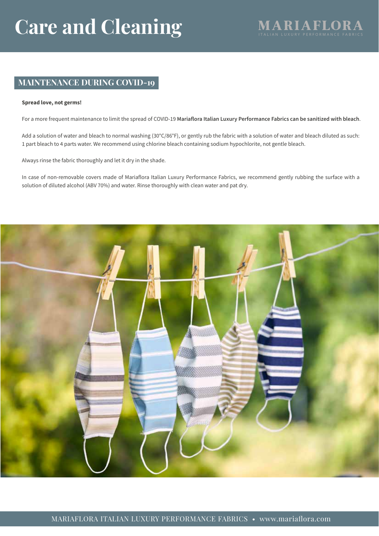### **MAINTENANCE DURING COVID-19**

#### Spread love, not germs!

For a more frequent maintenance to limit the spread of COVID-19 Mariaflora Italian Luxury Performance Fabrics can be sanitized with bleach.

Add a solution of water and bleach to normal washing (30°C/86°F), or gently rub the fabric with a solution of water and bleach diluted as such: 1 part bleach to 4 parts water. We recommend using chlorine bleach containing sodium hypochlorite, not gentle bleach.

Always rinse the fabric thoroughly and let it dry in the shade.

In case of non-removable covers made of Mariaflora Italian Luxury Performance Fabrics, we recommend gently rubbing the surface with a solution of diluted alcohol (ABV 70%) and water. Rinse thoroughly with clean water and pat dry.